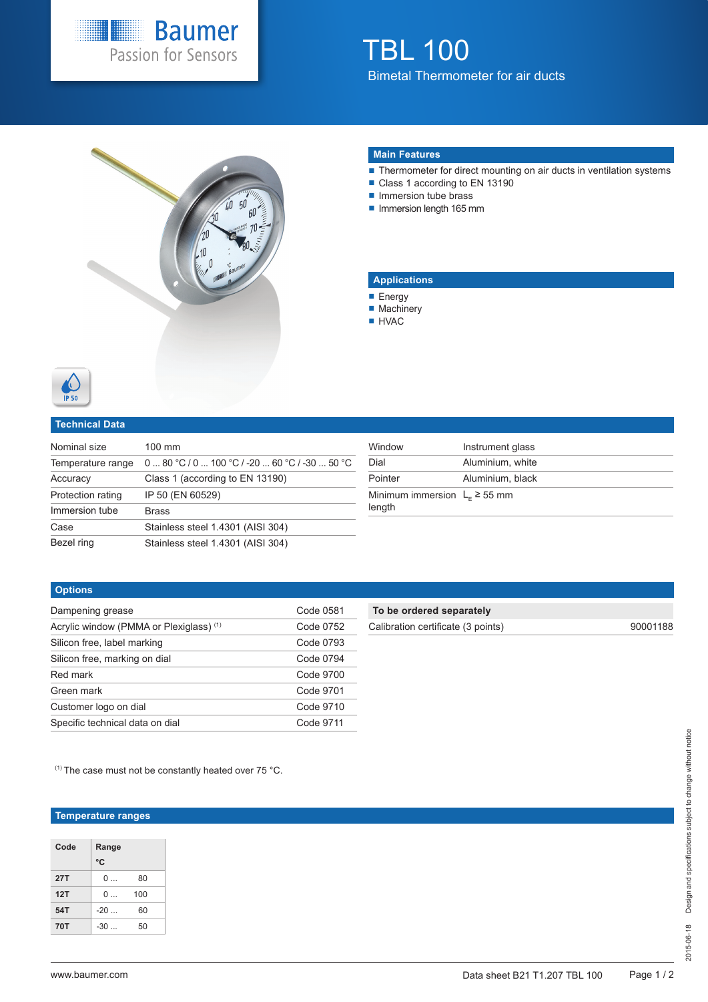

# TBL 100 Bimetal Thermometer for air ducts



#### **Main Features**

- Thermometer for direct mounting on air ducts in ventilation systems
- Class 1 according to EN 13190
- **Immersion tube brass**
- Immersion length 165 mm

### **Applications**

- **Energy**
- **Machinery**
- HVAC



### **Technical Data**

| Nominal size      | 100 mm                               |
|-------------------|--------------------------------------|
| Temperature range | $080 °C/0100 °C/ -2060 °C/ -3050 °C$ |
| Accuracy          | Class 1 (according to EN 13190)      |
| Protection rating | IP 50 (EN 60529)                     |
| Immersion tube    | <b>Brass</b>                         |
| Case              | Stainless steel 1.4301 (AISI 304)    |
| Bezel ring        | Stainless steel 1.4301 (AISI 304)    |

| Window                                     | Instrument glass |
|--------------------------------------------|------------------|
| Dial                                       | Aluminium, white |
| Pointer                                    | Aluminium, black |
| Minimum immersion $LF \ge 55$ mm<br>length |                  |

### **Options**

| Dampening grease                        | Code 0581 |
|-----------------------------------------|-----------|
| Acrylic window (PMMA or Plexiglass) (1) | Code 0752 |
| Silicon free, label marking             | Code 0793 |
| Silicon free, marking on dial           | Code 0794 |
| Red mark                                | Code 9700 |
| Green mark                              | Code 9701 |
| Customer logo on dial                   | Code 9710 |
| Specific technical data on dial         | Code 9711 |

## **To be ordered separately**

| Calibration certificate (3 points) |  |  |
|------------------------------------|--|--|
|                                    |  |  |

Calibration certificate (3 points) 90001188

 $(1)$  The case must not be constantly heated over 75 °C.

## **Temperature ranges**

| Code       | Range |     |  |  |  |  |  |  |  |  |
|------------|-------|-----|--|--|--|--|--|--|--|--|
|            | °C    |     |  |  |  |  |  |  |  |  |
| 27T        | ი —   | 80  |  |  |  |  |  |  |  |  |
| 12T        | ი —   | 100 |  |  |  |  |  |  |  |  |
| 54T        | -20   | 60  |  |  |  |  |  |  |  |  |
| <b>70T</b> | $-30$ | 50  |  |  |  |  |  |  |  |  |